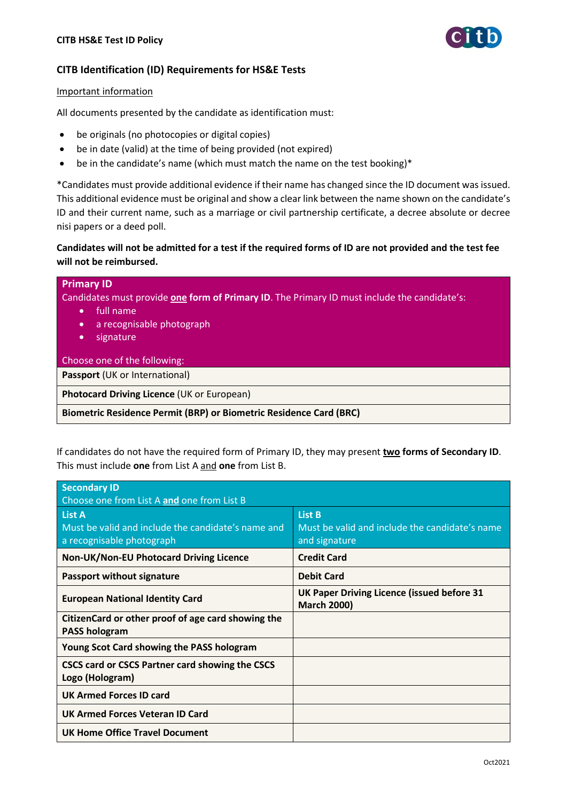

# **CITB Identification (ID) Requirements for HS&E Tests**

### Important information

All documents presented by the candidate as identification must:

- be originals (no photocopies or digital copies)
- be in date (valid) at the time of being provided (not expired)
- be in the candidate's name (which must match the name on the test booking)\*

\*Candidates must provide additional evidence if their name has changed since the ID document was issued. This additional evidence must be original and show a clear link between the name shown on the candidate's ID and their current name, such as a marriage or civil partnership certificate, a decree absolute or decree nisi papers or a deed poll.

## **Candidates will not be admitted for a test if the required forms of ID are not provided and the test fee will not be reimbursed.**

| <b>Primary ID</b><br>Candidates must provide one form of Primary ID. The Primary ID must include the candidate's:<br>'full name<br>$\bullet$<br>a recognisable photograph<br>$\bullet$<br>signature<br>$\bullet$ |  |  |
|------------------------------------------------------------------------------------------------------------------------------------------------------------------------------------------------------------------|--|--|
| Choose one of the following:                                                                                                                                                                                     |  |  |
| <b>Passport (UK or International)</b>                                                                                                                                                                            |  |  |
| Photocard Driving Licence (UK or European)                                                                                                                                                                       |  |  |
| <b>Biometric Residence Permit (BRP) or Biometric Residence Card (BRC)</b>                                                                                                                                        |  |  |

If candidates do not have the required form of Primary ID, they may present **two forms of Secondary ID**. This must include **one** from List A and **one** from List B.

| <b>Secondary ID</b><br>Choose one from List A and one from List B                                |                                                                                  |  |
|--------------------------------------------------------------------------------------------------|----------------------------------------------------------------------------------|--|
| <b>List A</b><br>Must be valid and include the candidate's name and<br>a recognisable photograph | <b>List B</b><br>Must be valid and include the candidate's name<br>and signature |  |
| Non-UK/Non-EU Photocard Driving Licence                                                          | <b>Credit Card</b>                                                               |  |
| <b>Passport without signature</b>                                                                | <b>Debit Card</b>                                                                |  |
| <b>European National Identity Card</b>                                                           | UK Paper Driving Licence (issued before 31<br><b>March 2000)</b>                 |  |
| CitizenCard or other proof of age card showing the<br><b>PASS hologram</b>                       |                                                                                  |  |
| <b>Young Scot Card showing the PASS hologram</b>                                                 |                                                                                  |  |
| CSCS card or CSCS Partner card showing the CSCS<br>Logo (Hologram)                               |                                                                                  |  |
| <b>UK Armed Forces ID card</b>                                                                   |                                                                                  |  |
| <b>UK Armed Forces Veteran ID Card</b>                                                           |                                                                                  |  |
| <b>UK Home Office Travel Document</b>                                                            |                                                                                  |  |